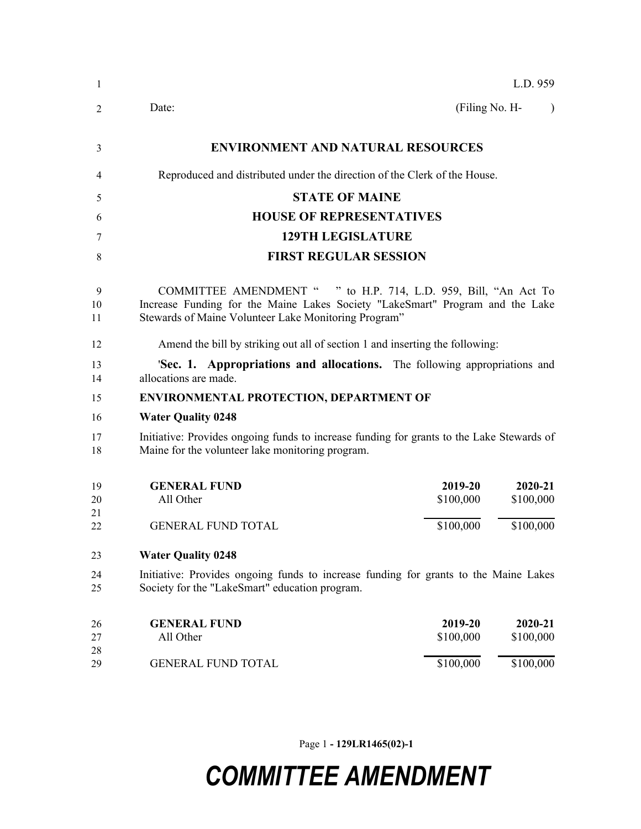| 1              | L.D. 959                                                                                                                                                                                                 |  |  |  |
|----------------|----------------------------------------------------------------------------------------------------------------------------------------------------------------------------------------------------------|--|--|--|
| 2              | (Filing No. H-<br>Date:<br>$\lambda$                                                                                                                                                                     |  |  |  |
| 3              | <b>ENVIRONMENT AND NATURAL RESOURCES</b>                                                                                                                                                                 |  |  |  |
| 4              | Reproduced and distributed under the direction of the Clerk of the House.                                                                                                                                |  |  |  |
| 5              | <b>STATE OF MAINE</b>                                                                                                                                                                                    |  |  |  |
| 6              | <b>HOUSE OF REPRESENTATIVES</b>                                                                                                                                                                          |  |  |  |
| 7              | <b>129TH LEGISLATURE</b>                                                                                                                                                                                 |  |  |  |
| 8              | <b>FIRST REGULAR SESSION</b>                                                                                                                                                                             |  |  |  |
| 9<br>10<br>11  | COMMITTEE AMENDMENT " " to H.P. 714, L.D. 959, Bill, "An Act To<br>Increase Funding for the Maine Lakes Society "LakeSmart" Program and the Lake<br>Stewards of Maine Volunteer Lake Monitoring Program" |  |  |  |
| 12             | Amend the bill by striking out all of section 1 and inserting the following:                                                                                                                             |  |  |  |
| 13<br>14       | <b>Sec. 1. Appropriations and allocations.</b> The following appropriations and<br>allocations are made.                                                                                                 |  |  |  |
| 15             | <b>ENVIRONMENTAL PROTECTION, DEPARTMENT OF</b>                                                                                                                                                           |  |  |  |
| 16             | <b>Water Quality 0248</b>                                                                                                                                                                                |  |  |  |
| 17<br>18       | Initiative: Provides ongoing funds to increase funding for grants to the Lake Stewards of<br>Maine for the volunteer lake monitoring program.                                                            |  |  |  |
| 19<br>20<br>21 | 2019-20<br>$2020 - 21$<br><b>GENERAL FUND</b><br>All Other<br>\$100,000<br>\$100,000                                                                                                                     |  |  |  |
| 22             | \$100,000<br>\$100,000<br><b>GENERAL FUND TOTAL</b>                                                                                                                                                      |  |  |  |
| 23             | <b>Water Quality 0248</b>                                                                                                                                                                                |  |  |  |
| 24<br>25       | Initiative: Provides ongoing funds to increase funding for grants to the Maine Lakes<br>Society for the "LakeSmart" education program.                                                                   |  |  |  |
| 26<br>27       | 2019-20<br>2020-21<br><b>GENERAL FUND</b><br>All Other<br>\$100,000<br>\$100,000                                                                                                                         |  |  |  |
| 28<br>29       | \$100,000<br><b>GENERAL FUND TOTAL</b><br>\$100,000                                                                                                                                                      |  |  |  |

Page 1 **- 129LR1465(02)-1**

## *COMMITTEE AMENDMENT*